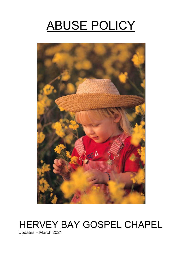# ABUSE POLICY



# HERVEY BAY GOSPEL CHAPEL

Updates – March 2021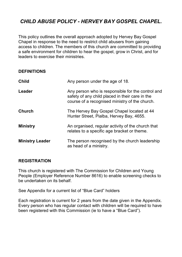# *CHILD ABUSE POLICY - HERVEY BAY GOSPEL CHAPEL.*

This policy outlines the overall approach adopted by Hervey Bay Gospel Chapel in response to the need to restrict child abusers from gaining access to children. The members of this church are committed to providing a safe environment for children to hear the gospel, grow in Christ, and for leaders to exercise their ministries.

#### **DEFINITIONS**

| Child                  | Any person under the age of 18.                                                                                                                        |
|------------------------|--------------------------------------------------------------------------------------------------------------------------------------------------------|
| Leader                 | Any person who is responsible for the control and<br>safety of any child placed in their care in the<br>course of a recognised ministry of the church. |
| Church                 | The Hervey Bay Gospel Chapel located at 44<br>Hunter Street, Pialba, Hervey Bay, 4655.                                                                 |
| Ministry               | An organised, regular activity of the church that<br>relates to a specific age bracket or theme.                                                       |
| <b>Ministry Leader</b> | The person recognised by the church leadership<br>as head of a ministry.                                                                               |

#### **REGISTRATION**

This church is registered with The Commission for Children and Young People (Employer Reference Number 8616) to enable screening checks to be undertaken on its behalf.

See Appendix for a current list of "Blue Card" holders

Each registration is current for 2 years from the date given in the Appendix. Every person who has regular contact with children will be required to have been registered with this Commission (ie to have a "Blue Card").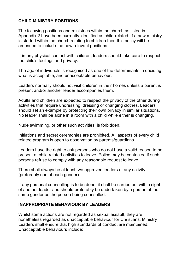### **CHILD MINISTRY POSITIONS**

The following positions and ministries within the church as listed in Appendix 2 have been currently identified as child-related. If a new ministry is started within the church relating to children then this policy will be amended to include the new relevant positions.

If in any physical contact with children, leaders should take care to respect the child's feelings and privacy.

The age of individuals is recognised as one of the determinants in deciding what is acceptable, and unacceptable behaviour.

Leaders normally should not visit children in their homes unless a parent is present and/or another leader accompanies them.

Adults and children are expected to respect the privacy of the other during activities that require undressing, dressing or changing clothes. Leaders should set an example by protecting their own privacy in similar situations. No leader shall be alone in a room with a child while either is changing.

Nude swimming, or other such activities, is forbidden.

Initiations and secret ceremonies are prohibited. All aspects of every child related program is open to observation by parents/guardians.

Leaders have the right to ask persons who do not have a valid reason to be present at child related activities to leave. Police may be contacted if such persons refuse to comply with any reasonable request to leave.

There shall always be at least two approved leaders at any activity (preferably one of each gender).

If any personal counselling is to be done, it shall be carried out within sight of another leader and should preferably be undertaken by a person of the same gender as the person being counselled.

#### **INAPPROPRIATE BEHAVIOUR BY LEADERS**

Whilst some actions are not regarded as sexual assault, they are nonetheless regarded as unacceptable behaviour for Christians. Ministry Leaders shall ensure that high standards of conduct are maintained. Unacceptable behaviours include: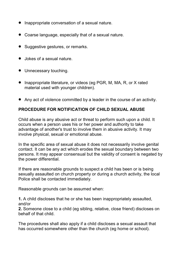- Inappropriate conversation of a sexual nature.
- Coarse language, especially that of a sexual nature.
- Suggestive gestures, or remarks.
- Jokes of a sexual nature.
- $\bullet$  Unnecessary touching.
- Inappropriate literature, or videos (eg PGR, M, MA, R, or X rated material used with younger children).
- Any act of violence committed by a leader in the course of an activity.

# **PROCEDURE FOR NOTIFICATION OF CHILD SEXUAL ABUSE**

Child abuse is any abusive act or threat to perform such upon a child. It occurs when a person uses his or her power and authority to take advantage of another's trust to involve them in abusive activity. It may involve physical, sexual or emotional abuse.

In the specific area of sexual abuse it does not necessarily involve genital contact. It can be any act which erodes the sexual boundary between two persons. It may appear consensual but the validity of consent is negated by the power differential.

If there are reasonable grounds to suspect a child has been or is being sexually assaulted on church property or during a church activity, the local Police shall be contacted immediately.

Reasonable grounds can be assumed when:

**1.** A child discloses that he or she has been inappropriately assaulted, and/or

**2.** Someone close to a child (eg sibling, relative, close friend) discloses on behalf of that child.

The procedures shall also apply if a child discloses a sexual assault that has occurred somewhere other than the church (eg home or school).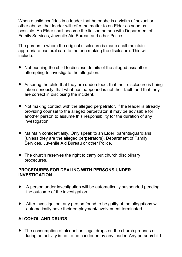When a child confides in a leader that he or she is a victim of sexual or other abuse, that leader will refer the matter to an Elder as soon as possible. An Elder shall become the liaison person with Department of Family Services, Juvenile Aid Bureau and other Police.

The person to whom the original disclosure is made shall maintain appropriate pastoral care to the one making the disclosure. This will include:

- Not pushing the child to disclose details of the alleged assault or attempting to investigate the allegation.
- Assuring the child that they are understood, that their disclosure is being taken seriously; that what has happened is not their fault, and that they are correct in disclosing the incident.
- Not making contact with the alleged perpetrator. If the leader is already providing counsel to the alleged perpetrator, it may be advisable for another person to assume this responsibility for the duration of any investigation.
- Maintain confidentiality. Only speak to an Elder, parents/guardians (unless they are the alleged perpetrators), Department of Family Services, Juvenile Aid Bureau or other Police.
- The church reserves the right to carry out church disciplinary procedures.

#### **PROCEDURES FOR DEALING WITH PERSONS UNDER INVESTIGATION**

- A person under investigation will be automatically suspended pending the outcome of the investigation
- After investigation, any person found to be guilty of the allegations will automatically have their employment/involvement terminated.

# **ALCOHOL AND DRUGS**

 The consumption of alcohol or illegal drugs on the church grounds or during an activity is not to be condoned by any leader. Any person/child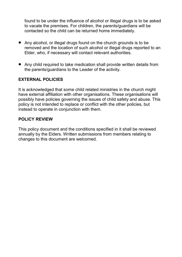found to be under the influence of alcohol or illegal drugs is to be asked to vacate the premises. For children, the parents/guardians will be contacted so the child can be returned home immediately.

- Any alcohol, or illegal drugs found on the church grounds is to be removed and the location of such alcohol or illegal drugs reported to an Elder, who, if necessary will contact relevant authorities.
- Any child required to take medication shall provide written details from the parents/guardians to the Leader of the activity.

## **EXTERNAL POLICIES**

It is acknowledged that some child related ministries in the church might have external affiliation with other organisations. These organisations will possibly have policies governing the issues of child safety and abuse. This policy is not intended to replace or conflict with the other policies, but instead to operate in conjunction with them.

#### **POLICY REVIEW**

This policy document and the conditions specified in it shall be reviewed annually by the Elders. Written submissions from members relating to changes to this document are welcomed.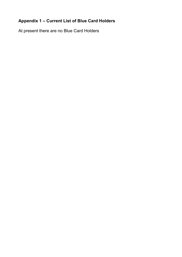# **Appendix 1 – Current List of Blue Card Holders**

At present there are no Blue Card Holders